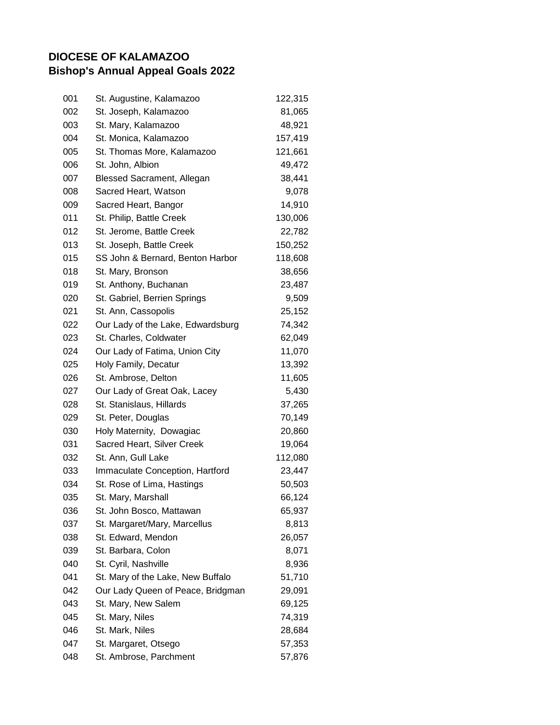## **DIOCESE OF KALAMAZOO Bishop's Annual Appeal Goals 2022**

| 001 | St. Augustine, Kalamazoo          | 122,315 |
|-----|-----------------------------------|---------|
| 002 | St. Joseph, Kalamazoo             | 81,065  |
| 003 | St. Mary, Kalamazoo               | 48,921  |
| 004 | St. Monica, Kalamazoo             | 157,419 |
| 005 | St. Thomas More, Kalamazoo        | 121,661 |
| 006 | St. John, Albion                  | 49,472  |
| 007 | <b>Blessed Sacrament, Allegan</b> | 38,441  |
| 008 | Sacred Heart, Watson              | 9,078   |
| 009 | Sacred Heart, Bangor              | 14,910  |
| 011 | St. Philip, Battle Creek          | 130,006 |
| 012 | St. Jerome, Battle Creek          | 22,782  |
| 013 | St. Joseph, Battle Creek          | 150,252 |
| 015 | SS John & Bernard, Benton Harbor  | 118,608 |
| 018 | St. Mary, Bronson                 | 38,656  |
| 019 | St. Anthony, Buchanan             | 23,487  |
| 020 | St. Gabriel, Berrien Springs      | 9,509   |
| 021 | St. Ann, Cassopolis               | 25,152  |
| 022 | Our Lady of the Lake, Edwardsburg | 74,342  |
| 023 | St. Charles, Coldwater            | 62,049  |
| 024 | Our Lady of Fatima, Union City    | 11,070  |
| 025 | Holy Family, Decatur              | 13,392  |
| 026 | St. Ambrose, Delton               | 11,605  |
| 027 | Our Lady of Great Oak, Lacey      | 5,430   |
| 028 | St. Stanislaus, Hillards          | 37,265  |
| 029 | St. Peter, Douglas                | 70,149  |
| 030 | Holy Maternity, Dowagiac          | 20,860  |
| 031 | Sacred Heart, Silver Creek        | 19,064  |
| 032 | St. Ann, Gull Lake                | 112,080 |
| 033 | Immaculate Conception, Hartford   | 23,447  |
| 034 | St. Rose of Lima, Hastings        | 50,503  |
| 035 | St. Mary, Marshall                | 66,124  |
| 036 | St. John Bosco, Mattawan          | 65,937  |
| 037 | St. Margaret/Mary, Marcellus      | 8,813   |
| 038 | St. Edward, Mendon                | 26,057  |
| 039 | St. Barbara, Colon                | 8,071   |
| 040 | St. Cyril, Nashville              | 8,936   |
| 041 | St. Mary of the Lake, New Buffalo | 51,710  |
| 042 | Our Lady Queen of Peace, Bridgman | 29,091  |
| 043 | St. Mary, New Salem               | 69,125  |
| 045 | St. Mary, Niles                   | 74,319  |
| 046 | St. Mark, Niles                   | 28,684  |
| 047 | St. Margaret, Otsego              | 57,353  |
| 048 | St. Ambrose, Parchment            | 57,876  |